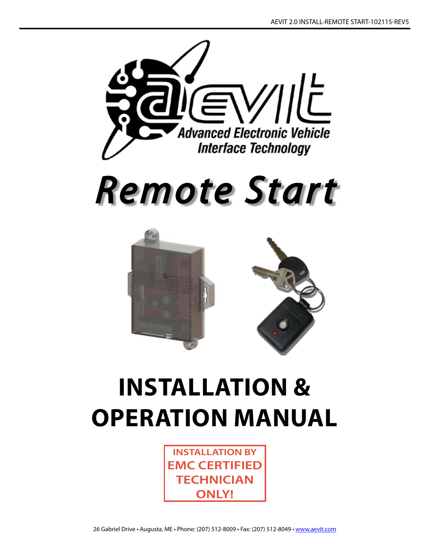



# **INSTALLATION & Operation MANUAL**

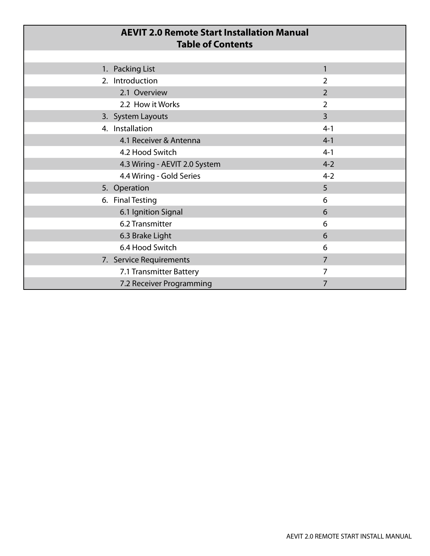| <b>AEVIT 2.0 Remote Start Installation Manual</b><br><b>Table of Contents</b> |                |
|-------------------------------------------------------------------------------|----------------|
|                                                                               |                |
| 1. Packing List                                                               | $\mathbf{1}$   |
| 2. Introduction                                                               | $\overline{2}$ |
| 2.1 Overview                                                                  | $\overline{2}$ |
| 2.2 How it Works                                                              | $\overline{2}$ |
| 3. System Layouts                                                             | $\overline{3}$ |
| 4. Installation                                                               | $4 - 1$        |
| 4.1 Receiver & Antenna                                                        | $4 - 1$        |
| 4.2 Hood Switch                                                               | $4 - 1$        |
| 4.3 Wiring - AEVIT 2.0 System                                                 | $4 - 2$        |
| 4.4 Wiring - Gold Series                                                      | $4 - 2$        |
| 5. Operation                                                                  | 5              |
| 6. Final Testing                                                              | 6              |
| 6.1 Ignition Signal                                                           | 6              |
| 6.2 Transmitter                                                               | 6              |
| 6.3 Brake Light                                                               | 6              |
| 6.4 Hood Switch                                                               | 6              |
| 7. Service Requirements                                                       | 7              |
| 7.1 Transmitter Battery                                                       | 7              |
| 7.2 Receiver Programming                                                      | 7              |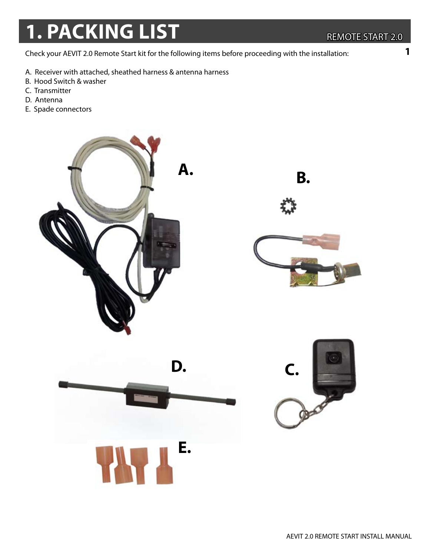## **1. PACKING LIST** REMOTE START 2.0

Check your AEVIT 2.0 Remote Start kit for the following items before proceeding with the installation:

- A. Receiver with attached, sheathed harness & antenna harness
- B. Hood Switch & washer
- C. Transmitter
- D. Antenna
- E. Spade connectors

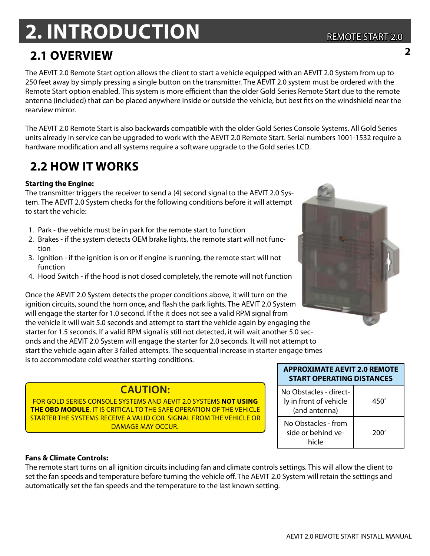## **2. Introduction**

### **2.1 Overview**

The AEVIT 2.0 Remote Start option allows the client to start a vehicle equipped with an AEVIT 2.0 System from up to 250 feet away by simply pressing a single button on the transmitter. The AEVIT 2.0 system must be ordered with the Remote Start option enabled. This system is more efficient than the older Gold Series Remote Start due to the remote antenna (included) that can be placed anywhere inside or outside the vehicle, but best fits on the windshield near the rearview mirror.

The AEVIT 2.0 Remote Start is also backwards compatible with the older Gold Series Console Systems. All Gold Series units already in service can be upgraded to work with the AEVIT 2.0 Remote Start. Serial numbers 1001-1532 require a hardware modification and all systems require a software upgrade to the Gold series LCD.

## **2.2 HOW IT WORKS**

#### **Starting the Engine:**

The transmitter triggers the receiver to send a (4) second signal to the AEVIT 2.0 System. The AEVIT 2.0 System checks for the following conditions before it will attempt to start the vehicle:

- 1. Park the vehicle must be in park for the remote start to function
- 2. Brakes if the system detects OEM brake lights, the remote start will not function
- 3. Ignition if the ignition is on or if engine is running, the remote start will not function
- 4. Hood Switch if the hood is not closed completely, the remote will not function

Once the AEVIT 2.0 System detects the proper conditions above, it will turn on the ignition circuits, sound the horn once, and flash the park lights. The AEVIT 2.0 System will engage the starter for 1.0 second. If the it does not see a valid RPM signal from the vehicle it will wait 5.0 seconds and attempt to start the vehicle again by engaging the starter for 1.5 seconds. If a valid RPM signal is still not detected, it will wait another 5.0 seconds and the AEVIT 2.0 System will engage the starter for 2.0 seconds. It will not attempt to start the vehicle again after 3 failed attempts. The sequential increase in starter engage times is to accommodate cold weather starting conditions.

#### **CAUTION:**

For gold series console systems and aevit 2.0 systems **not using the obd module**, it is critical to the safe operation of the vehicle starter the systems receive a valid coil signal from the vehicle or DAMAGE MAY OCCUR.

| <b>APPROXIMATE AEVIT 2.0 REMOTE</b><br><b>START OPERATING DISTANCES</b> |      |
|-------------------------------------------------------------------------|------|
| No Obstacles - direct-<br>ly in front of vehicle<br>(and antenna)       | 450' |
| No Obstacles - from<br>side or behind ve-<br>hicle                      | 200' |

#### **Fans & Climate Controls:**

The remote start turns on all ignition circuits including fan and climate controls settings. This will allow the client to set the fan speeds and temperature before turning the vehicle off. The AEVIT 2.0 System will retain the settings and automatically set the fan speeds and the temperature to the last known setting.



**2**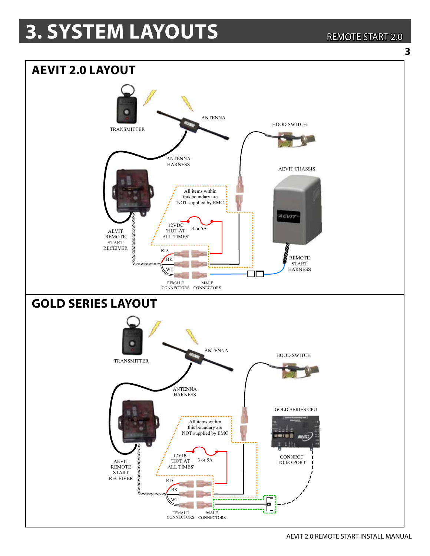## **3. SYSTEM LAYOUTS**

#### **REMOTE START 2.0**





AEVIT 2.0 REMOTE START INSTALL MANUAL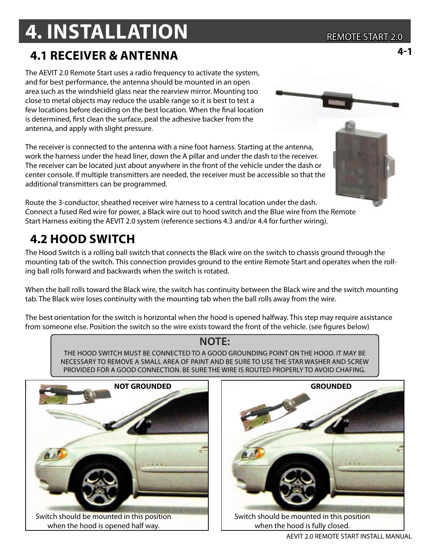## **4. INSTALLATION**

### **4.1 receiver & Antenna**

The AEVIT 2.0 Remote Start uses a radio frequency to activate the system, and for best performance, the antenna should be mounted in an open area such as the windshield glass near the rearview mirror. Mounting too close to metal objects may reduce the usable range so it is best to test a few locations before deciding on the best location. When the final location is determined, first clean the surface, peal the adhesive backer from the antenna, and apply with slight pressure.

The receiver is connected to the antenna with a nine foot harness. Starting at the antenna, work the harness under the head liner, down the A pillar and under the dash to the receiver. The receiver can be located just about anywhere in the front of the vehicle under the dash or center console. If multiple transmitters are needed, the receiver must be accessible so that the additional transmitters can be programmed.

Route the 3-conductor, sheathed receiver wire harness to a central location under the dash. Connect a fused Red wire for power, a Black wire out to hood switch and the Blue wire from the Remote Start Harness exiting the AEVIT 2.0 system (reference sections 4.3 and/or 4.4 for further wiring).

## **4.2 hood switch**

The Hood Switch is a rolling ball switch that connects the Black wire on the switch to chassis ground through the mounting tab of the switch. This connection provides ground to the entire Remote Start and operates when the rolling ball rolls forward and backwards when the switch is rotated.

When the ball rolls toward the Black wire, the switch has continuity between the Black wire and the switch mounting tab. The Black wire loses continuity with the mounting tab when the ball rolls away from the wire.

The best orientation for the switch is horizontal when the hood is opened halfway. This step may require assistance from someone else. Position the switch so the wire exists toward the front of the vehicle. (see figures below)

#### **NOTE:**

THE HOOD SWITCH MUST BE CONNECTED TO A GOOD GROUNDING POINT ON THE HOOD. IT MAY BE NECESSARY TO REMOVE A SMALL AREA OF PAINT AND BE SURE TO USE THE STAR WASHER AND SCREW PROVIDED FOR A GOOD CONNECTION. BE SURE THE WIRE IS ROUTED PROPERLY TO AVOID CHAFING.





**4-1**



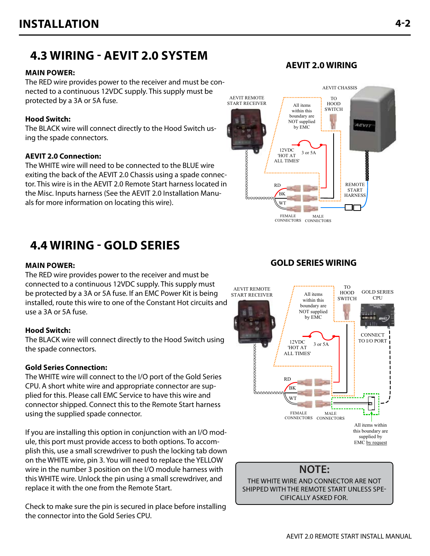### 4.3 WIRING - AEVIT 2.0 SYSTEM

#### **MAIN POWER:**

The RED wire provides power to the receiver and must be connected to a continuous 12VDC supply. This supply must be protected by a 3A or 5A fuse.

#### **Hood Switch:**

The BLACK wire will connect directly to the Hood Switch using the spade connectors.

#### **AEVIT 2.0 Connection:**

The WHITE wire will need to be connected to the BLUE wire exiting the back of the AEVIT 2.0 Chassis using a spade connector. This wire is in the AEVIT 2.0 Remote Start harness located in the Misc. Inputs harness (See the AEVIT 2.0 Installation Manuals for more information on locating this wire).

### **4.4 WIRING - GOLD SERIES**

#### **MAIN POWER:**

The RED wire provides power to the receiver and must be connected to a continuous 12VDC supply. This supply must be protected by a 3A or 5A fuse. If an EMC Power Kit is being installed, route this wire to one of the Constant Hot circuits and use a 3A or 5A fuse.

#### **Hood Switch:**

The BLACK wire will connect directly to the Hood Switch using the spade connectors.

#### **Gold Series Connection:**

The WHITE wire will connect to the I/O port of the Gold Series CPU. A short white wire and appropriate connector are supplied for this. Please call EMC Service to have this wire and connector shipped. Connect this to the Remote Start harness using the supplied spade connector.

If you are installing this option in conjunction with an I/O module, this port must provide access to both options. To accomplish this, use a small screwdriver to push the locking tab down on the WHITE wire, pin 3. You will need to replace the YELLOW wire in the number 3 position on the I/O module harness with this WHITE wire. Unlock the pin using a small screwdriver, and replace it with the one from the Remote Start.

Check to make sure the pin is secured in place before installing the connector into the Gold Series CPU.

#### **GOLD SERIES WIRING**

All items

within this

boundary are

NOT supplied by EMC

3 or 5A

MALE

12VDC

'HOT AT

**ALL TIMES'** 

**RD** 

RK

**WT** 

**CEMALE** 

**AEVIT REMOTE** 

**START RECEIVER** 

**SOUTH AND CONTROLLED** 

**TO** 

**HOOD** 

**SWITCH** 

**GOLD SERIES** 

CPU

**CONNECT** 

TO I/O PORT

All items within this boundary are

supplied by

EMC by request



CONNECTORS CONNECTORS



#### **AEVIT 2.0 WIRING**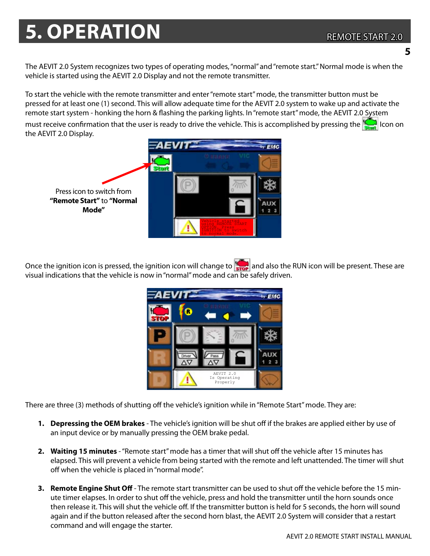#### REMOTE START 2.0

## **5. OPERATION**

**5**

The AEVIT 2.0 System recognizes two types of operating modes, "normal" and "remote start." Normal mode is when the vehicle is started using the AEVIT 2.0 Display and not the remote transmitter.

To start the vehicle with the remote transmitter and enter "remote start" mode, the transmitter button must be pressed for at least one (1) second. This will allow adequate time for the AEVIT 2.0 system to wake up and activate the remote start system - honking the horn & flashing the parking lights. In "remote start" mode, the AEVIT 2.0 System must receive confirmation that the user is ready to drive the vehicle. This is accomplished by pressing the  $\Box$  con on the AEVIT 2.0 Display.



Once the ignition icon is pressed, the ignition icon will change to **find a**nd also the RUN icon will be present. These are visual indications that the vehicle is now in "normal" mode and can be safely driven.



There are three (3) methods of shutting off the vehicle's ignition while in "Remote Start" mode. They are:

- **1. Depressing the OEM brakes** The vehicle's ignition will be shut off if the brakes are applied either by use of an input device or by manually pressing the OEM brake pedal.
- **2. Waiting 15 minutes** "Remote start" mode has a timer that will shut off the vehicle after 15 minutes has elapsed. This will prevent a vehicle from being started with the remote and left unattended. The timer will shut off when the vehicle is placed in "normal mode".
- **3. Remote Engine Shut Off** The remote start transmitter can be used to shut off the vehicle before the 15 minute timer elapses. In order to shut off the vehicle, press and hold the transmitter until the horn sounds once then release it. This will shut the vehicle off. If the transmitter button is held for 5 seconds, the horn will sound again and if the button released after the second horn blast, the AEVIT 2.0 System will consider that a restart command and will engage the starter.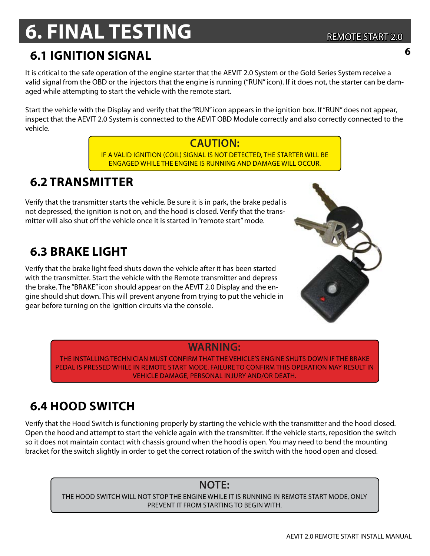## **6. FINAL TESTING**

## **6.1 Ignition Signal <sup>6</sup>**

It is critical to the safe operation of the engine starter that the AEVIT 2.0 System or the Gold Series System receive a valid signal from the OBD or the injectors that the engine is running ("RUN" icon). If it does not, the starter can be damaged while attempting to start the vehicle with the remote start.

Start the vehicle with the Display and verify that the "RUN" icon appears in the ignition box. If "RUN" does not appear, inspect that the AEVIT 2.0 System is connected to the AEVIT OBD Module correctly and also correctly connected to the vehicle.

### **CAUTION:**

if a valid ignition (Coil) signal is not detected, the starter will be engaged while the engine is running and damage will occur.

### **6.2 Transmitter**

Verify that the transmitter starts the vehicle. Be sure it is in park, the brake pedal is not depressed, the ignition is not on, and the hood is closed. Verify that the transmitter will also shut off the vehicle once it is started in "remote start" mode.

### **6.3 brake light**

Verify that the brake light feed shuts down the vehicle after it has been started with the transmitter. Start the vehicle with the Remote transmitter and depress the brake. The "BRAKE" icon should appear on the AEVIT 2.0 Display and the engine should shut down. This will prevent anyone from trying to put the vehicle in gear before turning on the ignition circuits via the console.

**WARNING:**

The installing technician must confirm that the vehicle's engine shuts down if the brake pedal is pressed while in remote start mode. Failure to confirm this operation may result in vehicle damage, personal injury and/or death.

## **6.4 hood switch**

Verify that the Hood Switch is functioning properly by starting the vehicle with the transmitter and the hood closed. Open the hood and attempt to start the vehicle again with the transmitter. If the vehicle starts, reposition the switch so it does not maintain contact with chassis ground when the hood is open. You may need to bend the mounting bracket for the switch slightly in order to get the correct rotation of the switch with the hood open and closed.

#### **Note:**

the hood switch will not stop the engine while it is running in remote start mode, only prevent it from starting to begin with.